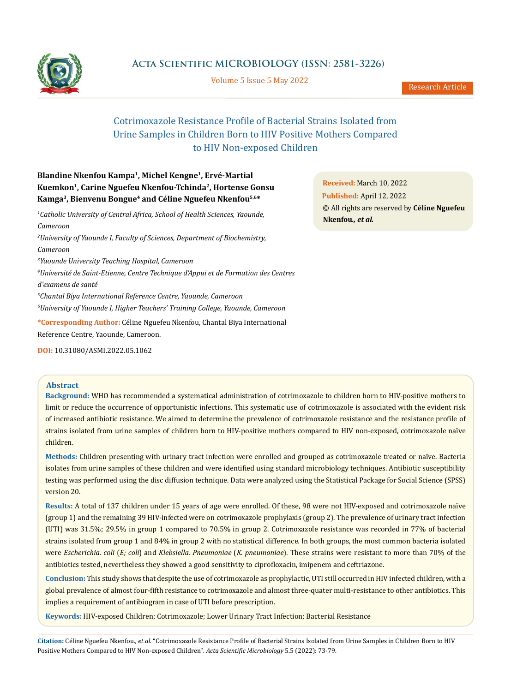

## **Acta Scientific MICROBIOLOGY (ISSN: 2581-3226)**

Volume 5 Issue 5 May 2022

# Cotrimoxazole Resistance Profile of Bacterial Strains Isolated from Urine Samples in Children Born to HIV Positive Mothers Compared to HIV Non-exposed Children

## **Blandine Nkenfou Kampa1, Michel Kengne1, Ervé-Martial Kuemkon1, Carine Nguefeu Nkenfou-Tchinda2, Hortense Gonsu Kamga3, Bienvenu Bongue4 and Céline Nguefeu Nkenfou5,6\***

*1 Catholic University of Central Africa, School of Health Sciences, Yaounde, Cameroon 2 University of Yaounde I, Faculty of Sciences, Department of Biochemistry, Cameroon 3 Yaounde University Teaching Hospital, Cameroon 4 Université de Saint-Etienne, Centre Technique d'Appui et de Formation des Centres d'examens de santé 5 Chantal Biya International Reference Centre, Yaounde, Cameroon 6 University of Yaounde I, Higher Teachers' Training College, Yaounde, Cameroon* **\*Corresponding Author:** Céline Nguefeu Nkenfou, Chantal Biya International

Reference Centre, Yaounde, Cameroon.

**DOI:** [10.31080/ASMI.2022.05.1062](http:// actascientific.com/ASMI/pdf/ASMI-05-1062.pdf)

## **Abstract**

**Background:** WHO has recommended a systematical administration of cotrimoxazole to children born to HIV-positive mothers to limit or reduce the occurrence of opportunistic infections. This systematic use of cotrimoxazole is associated with the evident risk of increased antibiotic resistance. We aimed to determine the prevalence of cotrimoxazole resistance and the resistance profile of strains isolated from urine samples of children born to HIV-positive mothers compared to HIV non-exposed, cotrimoxazole naïve children.

**Methods:** Children presenting with urinary tract infection were enrolled and grouped as cotrimoxazole treated or naïve. Bacteria isolates from urine samples of these children and were identified using standard microbiology techniques. Antibiotic susceptibility testing was performed using the disc diffusion technique. Data were analyzed using the Statistical Package for Social Science (SPSS) version 20.

**Results:** A total of 137 children under 15 years of age were enrolled. Of these, 98 were not HIV-exposed and cotrimoxazole naïve (group 1) and the remaining 39 HIV-infected were on cotrimoxazole prophylaxis (group 2). The prevalence of urinary tract infection (UTI) was 31.5%; 29.5% in group 1 compared to 70.5% in group 2. Cotrimoxazole resistance was recorded in 77% of bacterial strains isolated from group 1 and 84% in group 2 with no statistical difference. In both groups, the most common bacteria isolated were *Escherichia. coli* (*E; coli*) and *Klebsiella. Pneumoniae* (*K. pneumoniae*)*.* These strains were resistant to more than 70% of the antibiotics tested, nevertheless they showed a good sensitivity to ciprofloxacin, imipenem and ceftriazone.

**Conclusion:** This study shows that despite the use of cotrimoxazole as prophylactic, UTI still occurred in HIV infected children, with a global prevalence of almost four-fifth resistance to cotrimoxazole and almost three-quater multi-resistance to other antibiotics. This implies a requirement of antibiogram in case of UTI before prescription.

**Keywords:** HIV-exposed Children; Cotrimoxazole; Lower Urinary Tract Infection; Bacterial Resistance

**Citation:** Céline Nguefeu Nkenfou*., et al.* "Cotrimoxazole Resistance Profile of Bacterial Strains Isolated from Urine Samples in Children Born to HIV Positive Mothers Compared to HIV Non-exposed Children". *Acta Scientific Microbiology* 5.5 (2022): 73-79.

**Received:** March 10, 2022 **Published:** April 12, 2022 © All rights are reserved by **Céline Nguefeu Nkenfou***., et al.*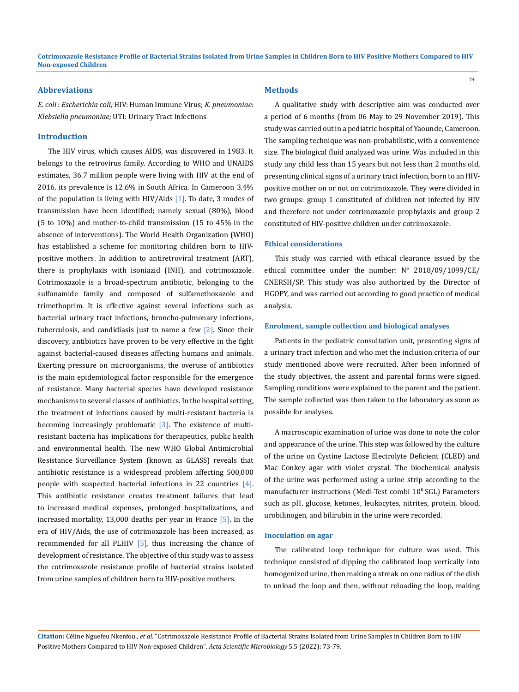### **Abbreviations**

*E. coli* : *Escherichia coli;* HIV: Human Immune Virus; *K. pneumoniae*: *Klebsiella pneumoniae;* UTI: Urinary Tract Infections

### **Introduction**

The HIV virus, which causes AIDS, was discovered in 1983. It belongs to the retrovirus family. According to WHO and UNAIDS estimates, 36.7 million people were living with HIV at the end of 2016, its prevalence is 12.6% in South Africa. In Cameroon 3.4% of the population is living with HIV/Aids  $[1]$ . To date, 3 modes of transmission have been identified; namely sexual (80%), blood (5 to 10%) and mother-to-child transmission (15 to 45% in the absence of interventions). The World Health Organization (WHO) has established a scheme for monitoring children born to HIVpositive mothers. In addition to antiretroviral treatment (ART), there is prophylaxis with isoniazid (INH), and cotrimoxazole. Cotrimoxazole is a broad-spectrum antibiotic, belonging to the sulfonamide family and composed of sulfamethoxazole and trimethoprim. It is effective against several infections such as bacterial urinary tract infections, broncho-pulmonary infections, tuberculosis, and candidiasis just to name a few  $\lceil 2 \rceil$ . Since their discovery, antibiotics have proven to be very effective in the fight against bacterial-caused diseases affecting humans and animals. Exerting pressure on microorganisms, the overuse of antibiotics is the main epidemiological factor responsible for the emergence of resistance. Many bacterial species have developed resistance mechanisms to several classes of antibiotics. In the hospital setting, the treatment of infections caused by multi-resistant bacteria is becoming increasingly problematic  $\lceil 3 \rceil$ . The existence of multiresistant bacteria has implications for therapeutics, public health and environmental health. The new WHO Global Antimicrobial Resistance Surveillance System (known as GLASS) reveals that antibiotic resistance is a widespread problem affecting 500,000 people with suspected bacterial infections in 22 countries  $[4]$ . This antibiotic resistance creates treatment failures that lead to increased medical expenses, prolonged hospitalizations, and increased mortality, 13,000 deaths per year in France [5]. In the era of HIV/Aids, the use of cotrimoxazole has been increased, as recommended for all PLHIV  $[5]$ , thus increasing the chance of development of resistance. The objective of this study was to assess the cotrimoxazole resistance profile of bacterial strains isolated from urine samples of children born to HIV-positive mothers.

#### **Methods**

A qualitative study with descriptive aim was conducted over a period of 6 months (from 06 May to 29 November 2019). This study was carried out in a pediatric hospital of Yaounde, Cameroon. The sampling technique was non-probabilistic, with a convenience size. The biological fluid analyzed was urine. Was included in this study any child less than 15 years but not less than 2 months old, presenting clinical signs of a urinary tract infection, born to an HIVpositive mother on or not on cotrimoxazole. They were divided in two groups: group 1 constituted of children not infected by HIV and therefore not under cotrimoxazole prophylaxis and group 2 constituted of HIV-positive children under cotrimoxazole.

## **Ethical considerations**

This study was carried with ethical clearance issued by the ethical committee under the number: N° 2018/09/1099/CE/ CNERSH/SP. This study was also authorized by the Director of HGOPY, and was carried out according to good practice of medical analysis.

## **Enrolment, sample collection and biological analyses**

Patients in the pediatric consultation unit, presenting signs of a urinary tract infection and who met the inclusion criteria of our study mentioned above were recruited. After been informed of the study objectives, the assent and parental forms were signed. Sampling conditions were explained to the parent and the patient. The sample collected was then taken to the laboratory as soon as possible for analyses.

A macroscopic examination of urine was done to note the color and appearance of the urine. This step was followed by the culture of the urine on Cystine Lactose Electrolyte Deficient (CLED) and Mac Conkey agar with violet crystal. The biochemical analysis of the urine was performed using a urine strip according to the manufacturer instructions (Medi-Test combi  $10<sup>R</sup> SGL$ ) Parameters such as pH, glucose, ketones, leukocytes, nitrites, protein, blood, urobilinogen, and bilirubin in the urine were recorded.

#### **Inoculation on agar**

The calibrated loop technique for culture was used. This technique consisted of dipping the calibrated loop vertically into homogenized urine, then making a streak on one radius of the dish to unload the loop and then, without reloading the loop, making

**Citation:** Céline Nguefeu Nkenfou*., et al.* "Cotrimoxazole Resistance Profile of Bacterial Strains Isolated from Urine Samples in Children Born to HIV Positive Mothers Compared to HIV Non-exposed Children". *Acta Scientific Microbiology* 5.5 (2022): 73-79.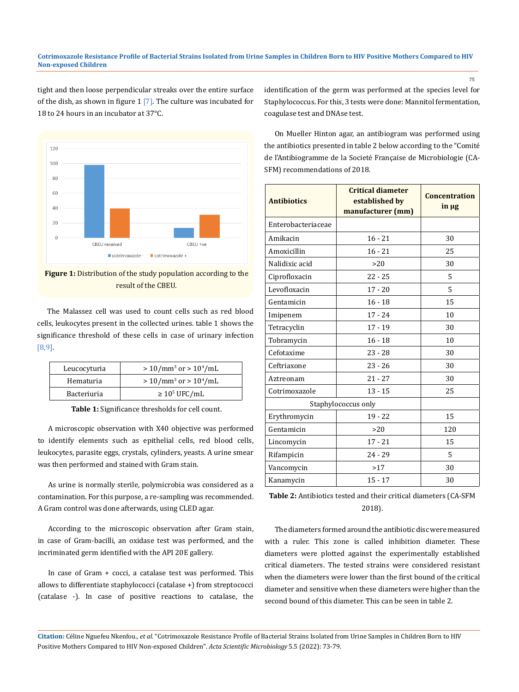tight and then loose perpendicular streaks over the entire surface of the dish, as shown in figure  $1 \overline{7}$ . The culture was incubated for 18 to 24 hours in an incubator at 37°C.



**Figure 1:** Distribution of the study population according to the result of the CBEU.

The Malassez cell was used to count cells such as red blood cells, leukocytes present in the collected urines. table 1 shows the significance threshold of these cells in case of urinary infection [8,9].

| Leucocyturia | $> 10/mm^3$ or $> 104/mL$ |  |
|--------------|---------------------------|--|
| Hematuria    | $> 10/mm^3$ or $> 104/mL$ |  |
| Bacteriuria  | $\geq 10^5$ UFC/mL        |  |

**Table 1:** Significance thresholds for cell count.

A microscopic observation with X40 objective was performed to identify elements such as epithelial cells, red blood cells, leukocytes, parasite eggs, crystals, cylinders, yeasts. A urine smear was then performed and stained with Gram stain.

As urine is normally sterile, polymicrobia was considered as a contamination. For this purpose, a re-sampling was recommended. A Gram control was done afterwards, using CLED agar.

According to the microscopic observation after Gram stain, in case of Gram-bacilli, an oxidase test was performed, and the incriminated germ identified with the API 20E gallery.

In case of Gram + cocci, a catalase test was performed. This allows to differentiate staphylococci (catalase +) from streptococci (catalase -). In case of positive reactions to catalase, the identification of the germ was performed at the species level for Staphylococcus. For this, 3 tests were done: Mannitol fermentation, coagulase test and DNAse test.

On Mueller Hinton agar, an antibiogram was performed using the antibiotics presented in table 2 below according to the "Comité de l'Antibiogramme de la Societé Française de Microbiologie (CA-SFM) recommendations of 2018.

| <b>Antibiotics</b>  | <b>Critical diameter</b><br>established by<br>manufacturer (mm) | <b>Concentration</b><br>in µg |  |  |
|---------------------|-----------------------------------------------------------------|-------------------------------|--|--|
| Enterobacteriaceae  |                                                                 |                               |  |  |
| Amikacin            | $16 - 21$                                                       | 30                            |  |  |
| Amoxicillin         | $16 - 21$                                                       | 25                            |  |  |
| Nalidixic acid      | >20                                                             | 30                            |  |  |
| Ciprofloxacin       | $22 - 25$                                                       | 5                             |  |  |
| Levofloxacin        | $17 - 20$                                                       | 5                             |  |  |
| Gentamicin          | $16 - 18$                                                       | 15                            |  |  |
| Imipenem            | $17 - 24$                                                       | 10                            |  |  |
| Tetracyclin         | $17 - 19$                                                       | 30                            |  |  |
| Tobramycin          | $16 - 18$                                                       | 10                            |  |  |
| Cefotaxime          | $23 - 28$                                                       | 30                            |  |  |
| Ceftriaxone         | $23 - 26$                                                       | 30                            |  |  |
| Aztreonam           | $21 - 27$                                                       | 30                            |  |  |
| Cotrimoxazole       | $13 - 15$                                                       | 25                            |  |  |
| Staphylococcus only |                                                                 |                               |  |  |
| Erythromycin        | $19 - 22$                                                       | 15                            |  |  |
| Gentamicin          | >20                                                             | 120                           |  |  |
| Lincomycin          | $17 - 21$                                                       | 15                            |  |  |
| Rifampicin          | $24 - 29$                                                       | 5                             |  |  |
| Vancomycin          | >17                                                             | 30                            |  |  |
| Kanamycin           | $15 - 17$                                                       | 30                            |  |  |

**Table 2:** Antibiotics tested and their critical diameters (CA-SFM 2018).

The diameters formed around the antibiotic disc were measured with a ruler. This zone is called inhibition diameter. These diameters were plotted against the experimentally established critical diameters. The tested strains were considered resistant when the diameters were lower than the first bound of the critical diameter and sensitive when these diameters were higher than the second bound of this diameter. This can be seen in table 2.

**Citation:** Céline Nguefeu Nkenfou*., et al.* "Cotrimoxazole Resistance Profile of Bacterial Strains Isolated from Urine Samples in Children Born to HIV Positive Mothers Compared to HIV Non-exposed Children". *Acta Scientific Microbiology* 5.5 (2022): 73-79.

75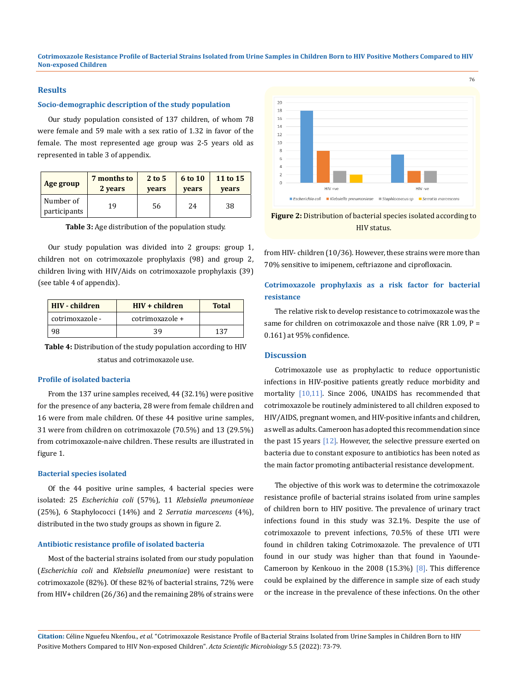#### **Results**

#### **Socio-demographic description of the study population**

Our study population consisted of 137 children, of whom 78 were female and 59 male with a sex ratio of 1.32 in favor of the female. The most represented age group was 2-5 years old as represented in table 3 of appendix.

| Age group                 | 7 months to | $2$ to 5 | 6 to 10 | 11 to 15     |
|---------------------------|-------------|----------|---------|--------------|
|                           | 2 years     | vears    | vears   | <b>vears</b> |
| Number of<br>participants | 19          | 56       | 24      | 38           |

**Table 3:** Age distribution of the population study.

Our study population was divided into 2 groups: group 1, children not on cotrimoxazole prophylaxis (98) and group 2, children living with HIV/Aids on cotrimoxazole prophylaxis (39) (see table 4 of appendix).

| HIV - children  | HIV + children  | <b>Total</b> |
|-----------------|-----------------|--------------|
| - cotrimoxazole | cotrimoxazole + |              |
|                 | 39              | 137          |

**Table 4:** Distribution of the study population according to HIV status and cotrimoxazole use.

#### **Profile of isolated bacteria**

From the 137 urine samples received, 44 (32.1%) were positive for the presence of any bacteria, 28 were from female children and 16 were from male children. Of these 44 positive urine samples, 31 were from children on cotrimoxazole (70.5%) and 13 (29.5%) from cotrimoxazole-naive children. These results are illustrated in figure 1.

## **Bacterial species isolated**

Of the 44 positive urine samples, 4 bacterial species were isolated: 25 *Escherichia coli* (57%), 11 *Klebsiella pneumonieae* (25%), 6 Staphylococci (14%) and 2 *Serratia marcescens* (4%), distributed in the two study groups as shown in figure 2.

#### **Antibiotic resistance profile of isolated bacteria**

Most of the bacterial strains isolated from our study population (*Escherichia coli* and *Klebsiella pneumoniae*) were resistant to cotrimoxazole (82%). Of these 82% of bacterial strains, 72% were from HIV+ children (26/36) and the remaining 28% of strains were



**Figure 2:** Distribution of bacterial species isolated according to HIV status.

from HIV- children (10/36). However, these strains were more than 70% sensitive to imipenem, ceftriazone and ciprofloxacin.

## **Cotrimoxazole prophylaxis as a risk factor for bacterial resistance**

The relative risk to develop resistance to cotrimoxazole was the same for children on cotrimoxazole and those naïve (RR 1.09, P = 0.161) at 95% confidence.

#### **Discussion**

Cotrimoxazole use as prophylactic to reduce opportunistic infections in HIV-positive patients greatly reduce morbidity and mortality [10,11]. Since 2006, UNAIDS has recommended that cotrimoxazole be routinely administered to all children exposed to HIV/AIDS, pregnant women, and HIV-positive infants and children, as well as adults. Cameroon has adopted this recommendation since the past 15 years [12]. However, the selective pressure exerted on bacteria due to constant exposure to antibiotics has been noted as the main factor promoting antibacterial resistance development.

The objective of this work was to determine the cotrimoxazole resistance profile of bacterial strains isolated from urine samples of children born to HIV positive. The prevalence of urinary tract infections found in this study was 32.1%. Despite the use of cotrimoxazole to prevent infections, 70.5% of these UTI were found in children taking Cotrimoxazole. The prevalence of UTI found in our study was higher than that found in Yaounde-Cameroon by Kenkouo in the 2008 (15.3%) [8]. This difference could be explained by the difference in sample size of each study or the increase in the prevalence of these infections. On the other

**Citation:** Céline Nguefeu Nkenfou*., et al.* "Cotrimoxazole Resistance Profile of Bacterial Strains Isolated from Urine Samples in Children Born to HIV Positive Mothers Compared to HIV Non-exposed Children". *Acta Scientific Microbiology* 5.5 (2022): 73-79.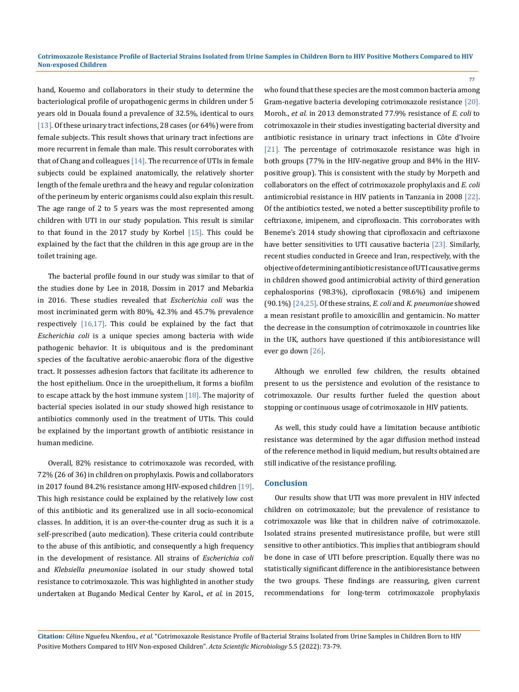hand, Kouemo and collaborators in their study to determine the bacteriological profile of uropathogenic germs in children under 5 years old in Douala found a prevalence of 32.5%, identical to ours [13]. Of these urinary tract infections, 28 cases (or 64%) were from female subjects. This result shows that urinary tract infections are more recurrent in female than male. This result corroborates with that of Chang and colleagues  $[14]$ . The recurrence of UTIs in female subjects could be explained anatomically, the relatively shorter length of the female urethra and the heavy and regular colonization of the perineum by enteric organisms could also explain this result. The age range of 2 to 5 years was the most represented among children with UTI in our study population. This result is similar to that found in the 2017 study by Korbel  $[15]$ . This could be explained by the fact that the children in this age group are in the toilet training age.

The bacterial profile found in our study was similar to that of the studies done by Lee in 2018, Dossim in 2017 and Mebarkia in 2016. These studies revealed that *Escherichia coli* was the most incriminated germ with 80%, 42.3% and 45.7% prevalence respectively  $[16,17]$ . This could be explained by the fact that *Escherichia coli* is a unique species among bacteria with wide pathogenic behavior. It is ubiquitous and is the predominant species of the facultative aerobic-anaerobic flora of the digestive tract. It possesses adhesion factors that facilitate its adherence to the host epithelium. Once in the uroepithelium, it forms a biofilm to escape attack by the host immune system  $[18]$ . The majority of bacterial species isolated in our study showed high resistance to antibiotics commonly used in the treatment of UTIs. This could be explained by the important growth of antibiotic resistance in human medicine.

Overall, 82% resistance to cotrimoxazole was recorded, with 72% (26 of 36) in children on prophylaxis. Powis and collaborators in 2017 found 84.2% resistance among HIV-exposed children [19]. This high resistance could be explained by the relatively low cost of this antibiotic and its generalized use in all socio-economical classes. In addition, it is an over-the-counter drug as such it is a self-prescribed (auto medication). These criteria could contribute to the abuse of this antibiotic, and consequently a high frequency in the development of resistance. All strains of *Escherichia coli* and *Klebsiella pneumoniae* isolated in our study showed total resistance to cotrimoxazole. This was highlighted in another study undertaken at Bugando Medical Center by Karol., *et al*. in 2015,

who found that these species are the most common bacteria among Gram-negative bacteria developing cotrimoxazole resistance [20]. Moroh., *et al.* in 2013 demonstrated 77.9% resistance of *E. coli* to cotrimoxazole in their studies investigating bacterial diversity and antibiotic resistance in urinary tract infections in Côte d'Ivoire [21]. The percentage of cotrimoxazole resistance was high in both groups (77% in the HIV-negative group and 84% in the HIVpositive group). This is consistent with the study by Morpeth and collaborators on the effect of cotrimoxazole prophylaxis and *E. coli* antimicrobial resistance in HIV patients in Tanzania in 2008 [22]. Of the antibiotics tested, we noted a better susceptibility profile to ceftriaxone, imipenem, and ciprofloxacin. This corroborates with Beneme's 2014 study showing that ciprofloxacin and ceftriaxone have better sensitivities to UTI causative bacteria [23]. Similarly, recent studies conducted in Greece and Iran, respectively, with the objective of determining antibiotic resistance of UTI causative germs in children showed good antimicrobial activity of third generation cephalosporins (98.3%), ciprofloxacin (98.6%) and imipenem (90.1%) [24,25]. Of these strains, *E. coli* and *K. pneumoniae* showed a mean resistant profile to amoxicillin and gentamicin. No matter the decrease in the consumption of cotrimoxazole in countries like in the UK, authors have questioned if this antibioresistance will ever go down [26].

Although we enrolled few children, the results obtained present to us the persistence and evolution of the resistance to cotrimoxazole. Our results further fueled the question about stopping or continuous usage of cotrimoxazole in HIV patients.

As well, this study could have a limitation because antibiotic resistance was determined by the agar diffusion method instead of the reference method in liquid medium, but results obtained are still indicative of the resistance profiling.

#### **Conclusion**

Our results show that UTI was more prevalent in HIV infected children on cotrimoxazole; but the prevalence of resistance to cotrimoxazole was like that in children naïve of cotrimoxazole. Isolated strains presented mutiresistance profile, but were still sensitive to other antibiotics. This implies that antibiogram should be done in case of UTI before prescription. Equally there was no statistically significant difference in the antibioresistance between the two groups. These findings are reassuring, given current recommendations for long-term cotrimoxazole prophylaxis

**Citation:** Céline Nguefeu Nkenfou*., et al.* "Cotrimoxazole Resistance Profile of Bacterial Strains Isolated from Urine Samples in Children Born to HIV Positive Mothers Compared to HIV Non-exposed Children". *Acta Scientific Microbiology* 5.5 (2022): 73-79.

77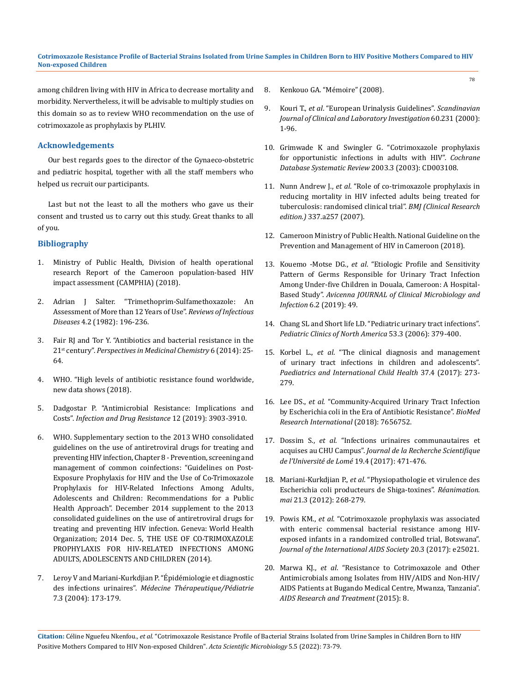among children living with HIV in Africa to decrease mortality and morbidity. Nervertheless, it will be advisable to multiply studies on this domain so as to review WHO recommendation on the use of cotrimoxazole as prophylaxis by PLHIV.

## **Acknowledgements**

Our best regards goes to the director of the Gynaeco-obstetric and pediatric hospital, together with all the staff members who helped us recruit our participants.

Last but not the least to all the mothers who gave us their consent and trusted us to carry out this study. Great thanks to all of you.

## **Bibliography**

- 1. Ministry of Public Health, Division of health operational research Report of the Cameroon population-based HIV impact assessment (CAMPHIA) (2018).
- 2. [Adrian J Salter. "Trimethoprim-Sulfamethoxazole: An](https://pubmed.ncbi.nlm.nih.gov/7051224/)  [Assessment of More than 12 Years of Use".](https://pubmed.ncbi.nlm.nih.gov/7051224/) *Reviews of Infectious Diseases* [4.2 \(1982\): 196-236.](https://pubmed.ncbi.nlm.nih.gov/7051224/)
- 3. [Fair RJ and Tor Y. "Antibiotics and bacterial resistance in the](https://www.ncbi.nlm.nih.gov/pmc/articles/PMC4159373/)  21st century". *[Perspectives in Medicinal Chemistry](https://www.ncbi.nlm.nih.gov/pmc/articles/PMC4159373/)* 6 (2014): 25- [64.](https://www.ncbi.nlm.nih.gov/pmc/articles/PMC4159373/)
- 4. [WHO. "High levels of antibiotic resistance found worldwide,](file:///E:/ANUSHA/Acta/MAY/ASMI/ASMI-22-RA-066/4.%09WHO.%20“High%20levels%20of%20antibiotic%20resistance%20found%20worldwide,%20new%20data%20shows%20(2018).)  [new data shows \(2018\).](file:///E:/ANUSHA/Acta/MAY/ASMI/ASMI-22-RA-066/4.%09WHO.%20“High%20levels%20of%20antibiotic%20resistance%20found%20worldwide,%20new%20data%20shows%20(2018).)
- 5. [Dadgostar P. "Antimicrobial Resistance: Implications and](https://www.ncbi.nlm.nih.gov/pmc/articles/PMC6929930/)  Costs". *[Infection and Drug Resistance](https://www.ncbi.nlm.nih.gov/pmc/articles/PMC6929930/)* 12 (2019): 3903-3910.
- 6. [WHO. Supplementary section to the 2013 WHO consolidated](https://www.paho.org/en/node/69607)  [guidelines on the use of antiretroviral drugs for treating and](https://www.paho.org/en/node/69607)  [preventing HIV infection, Chapter 8 - Prevention, screening and](https://www.paho.org/en/node/69607)  [management of common coinfections: "Guidelines on Post-](https://www.paho.org/en/node/69607)[Exposure Prophylaxis for HIV and the Use of Co-Trimoxazole](https://www.paho.org/en/node/69607)  [Prophylaxis for HIV-Related Infections Among Adults,](https://www.paho.org/en/node/69607)  [Adolescents and Children: Recommendations for a Public](https://www.paho.org/en/node/69607)  [Health Approach". December 2014 supplement to the 2013](https://www.paho.org/en/node/69607)  [consolidated guidelines on the use of antiretroviral drugs for](https://www.paho.org/en/node/69607)  [treating and preventing HIV infection. Geneva: World Health](https://www.paho.org/en/node/69607)  [Organization; 2014 Dec. 5, THE USE OF CO-TRIMOXAZOLE](https://www.paho.org/en/node/69607)  [PROPHYLAXIS FOR HIV-RELATED INFECTIONS AMONG](https://www.paho.org/en/node/69607)  [ADULTS, ADOLESCENTS AND CHILDREN \(2014\).](https://www.paho.org/en/node/69607)
- 7. [Leroy V and Mariani-Kurkdjian P. "Épidémiologie et diagnostic](https://tel.archives-ouvertes.fr/tel-01275795/document)  des infections urinaires". *[Médecine Thérapeutique/Pédiatrie](https://tel.archives-ouvertes.fr/tel-01275795/document)* [7.3 \(2004\): 173-179.](https://tel.archives-ouvertes.fr/tel-01275795/document)
- 8. Kenkouo GA. "Mémoire" (2008).
- 9. Kouri T., *et al*[. "European Urinalysis Guidelines".](https://www.tandfonline.com/doi/abs/10.1080/00365513.2000.12056993) *Scandinavian [Journal of Clinical and Laboratory Investigation](https://www.tandfonline.com/doi/abs/10.1080/00365513.2000.12056993)* 60.231 (2000): [1-96.](https://www.tandfonline.com/doi/abs/10.1080/00365513.2000.12056993)
- 10. [Grimwade K and Swingler G. "Cotrimoxazole prophylaxis](https://pubmed.ncbi.nlm.nih.gov/12917946/)  [for opportunistic infections in adults with HIV".](https://pubmed.ncbi.nlm.nih.gov/12917946/) *Cochrane [Database Systematic Review](https://pubmed.ncbi.nlm.nih.gov/12917946/)* 2003.3 (2003): CD003108.
- 11. Nunn Andrew J., *et al*[. "Role of co-trimoxazole prophylaxis in](https://www.bmj.com/content/337/bmj.a257)  [reducing mortality in HIV infected adults being treated for](https://www.bmj.com/content/337/bmj.a257)  [tuberculosis: randomised clinical trial".](https://www.bmj.com/content/337/bmj.a257) *BMJ (Clinical Research edition.)* [337.a257 \(2007\).](https://www.bmj.com/content/337/bmj.a257)
- 12. [Cameroon Ministry of Public Health. National Guideline on the](http://www.childrenandaids.org/node/520)  [Prevention and Management of HIV in Cameroon \(2018\).](http://www.childrenandaids.org/node/520)
- 13. Kouemo -Motse DG., *et al*[. "Etiologic Profile and Sensitivity](https://www.researchgate.net/publication/335564412_Etiologic_Profile_and_Sensitivity_Pattern_of_Germs_Responsible_for_Urinary_Tract_Infection_Among_Under-five_Children_in_Douala_Cameroon_A_Hospital-Based_Study)  [Pattern of Germs Responsible for Urinary Tract Infection](https://www.researchgate.net/publication/335564412_Etiologic_Profile_and_Sensitivity_Pattern_of_Germs_Responsible_for_Urinary_Tract_Infection_Among_Under-five_Children_in_Douala_Cameroon_A_Hospital-Based_Study)  [Among Under-five Children in Douala, Cameroon: A Hospital-](https://www.researchgate.net/publication/335564412_Etiologic_Profile_and_Sensitivity_Pattern_of_Germs_Responsible_for_Urinary_Tract_Infection_Among_Under-five_Children_in_Douala_Cameroon_A_Hospital-Based_Study)Based Study". *[Avicenna JOURNAL of Clinical Microbiology and](https://www.researchgate.net/publication/335564412_Etiologic_Profile_and_Sensitivity_Pattern_of_Germs_Responsible_for_Urinary_Tract_Infection_Among_Under-five_Children_in_Douala_Cameroon_A_Hospital-Based_Study)  Infection* [6.2 \(2019\): 49.](https://www.researchgate.net/publication/335564412_Etiologic_Profile_and_Sensitivity_Pattern_of_Germs_Responsible_for_Urinary_Tract_Infection_Among_Under-five_Children_in_Douala_Cameroon_A_Hospital-Based_Study)
- 14. [Chang SL and Short life LD. "Pediatric urinary tract infections".](https://emedicine.medscape.com/article/969643-overview)  *[Pediatric Clinics of North America](https://emedicine.medscape.com/article/969643-overview)* 53.3 (2006): 379-400.
- 15. Korbel L., *et al*[. "The clinical diagnosis and management](https://pubmed.ncbi.nlm.nih.gov/28978286/)  [of urinary tract infections in children and adolescents".](https://pubmed.ncbi.nlm.nih.gov/28978286/)  *[Paediatrics and International Child Health](https://pubmed.ncbi.nlm.nih.gov/28978286/)* 37.4 (2017): 273- [279.](https://pubmed.ncbi.nlm.nih.gov/28978286/)
- 16. Lee DS., *et al*[. "Community-Acquired Urinary Tract Infection](https://pubmed.ncbi.nlm.nih.gov/30356438/)  [by Escherichia coli in the Era of Antibiotic Resistance".](https://pubmed.ncbi.nlm.nih.gov/30356438/) *BioMed [Research International](https://pubmed.ncbi.nlm.nih.gov/30356438/)* (2018): 7656752.
- 17. Dossim S., *et al*[. "Infections urinaires communautaires et](https://www.researchgate.net/publication/322661671_Infections_urinaires_communautaires_et_acquises_au_CHU_Campus)  acquises au CHU Campus". *[Journal de la Recherche Scientifique](https://www.researchgate.net/publication/322661671_Infections_urinaires_communautaires_et_acquises_au_CHU_Campus)  [de l'Université de Lomé](https://www.researchgate.net/publication/322661671_Infections_urinaires_communautaires_et_acquises_au_CHU_Campus)* 19.4 (2017): 471-476.
- 18. Mariani-Kurkdjian P., *et al*[. "Physiopathologie et virulence des](https://www.semanticscholar.org/paper/Physiopathologie-et-virulence-des-Escherichia-coli-Mariani-Kurkdjian-Bingen/abe2e5d5a55d7da33242ed2d6d587b1f0065d589)  [Escherichia coli producteurs de Shiga-toxines".](https://www.semanticscholar.org/paper/Physiopathologie-et-virulence-des-Escherichia-coli-Mariani-Kurkdjian-Bingen/abe2e5d5a55d7da33242ed2d6d587b1f0065d589) *Réanimation. mai* [21.3 \(2012\): 268-279.](https://www.semanticscholar.org/paper/Physiopathologie-et-virulence-des-Escherichia-coli-Mariani-Kurkdjian-Bingen/abe2e5d5a55d7da33242ed2d6d587b1f0065d589)
- 19. Powis KM., *et al*[. "Cotrimoxazole prophylaxis was associated](https://pubmed.ncbi.nlm.nih.gov/29119726/)  [with enteric commensal bacterial resistance among HIV](https://pubmed.ncbi.nlm.nih.gov/29119726/)[exposed infants in a randomized controlled trial, Botswana".](https://pubmed.ncbi.nlm.nih.gov/29119726/)  *[Journal of the International AIDS Society](https://pubmed.ncbi.nlm.nih.gov/29119726/)* 20.3 (2017): e25021.
- 20. Marwa KJ., *et al*[. "Resistance to Cotrimoxazole and Other](https://pubmed.ncbi.nlm.nih.gov/25793123/)  [Antimicrobials among Isolates from HIV/AIDS and Non-HIV/](https://pubmed.ncbi.nlm.nih.gov/25793123/) [AIDS Patients at Bugando Medical Centre, Mwanza, Tanzania".](https://pubmed.ncbi.nlm.nih.gov/25793123/)  *[AIDS Research and Treatment](https://pubmed.ncbi.nlm.nih.gov/25793123/)* (2015): 8.

**Citation:** Céline Nguefeu Nkenfou*., et al.* "Cotrimoxazole Resistance Profile of Bacterial Strains Isolated from Urine Samples in Children Born to HIV Positive Mothers Compared to HIV Non-exposed Children". *Acta Scientific Microbiology* 5.5 (2022): 73-79.